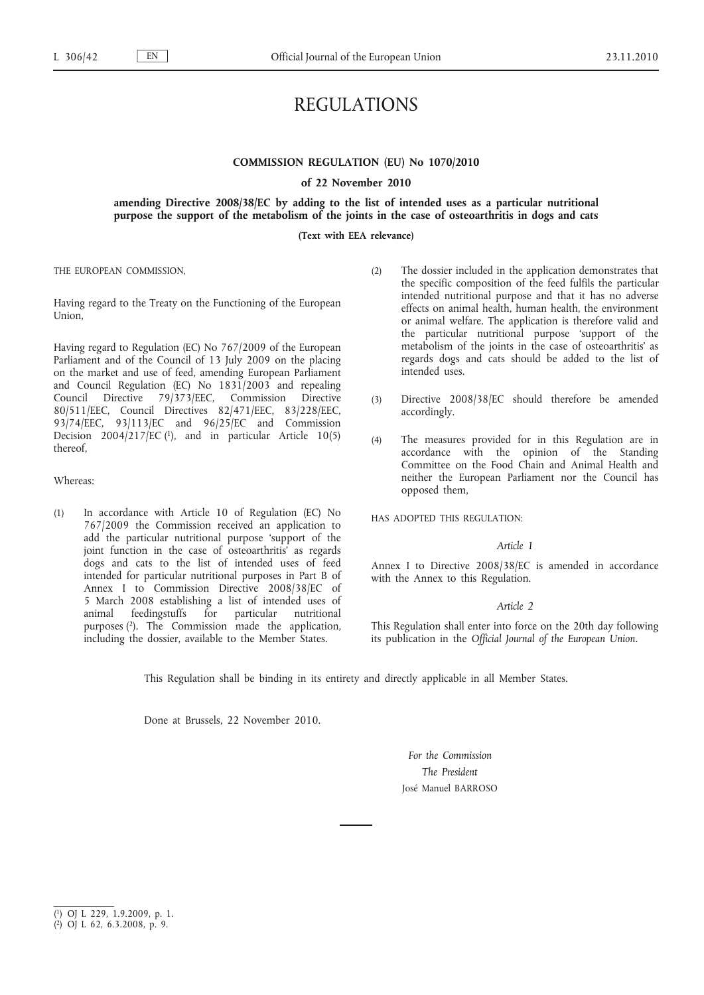# REGULATIONS

# **COMMISSION REGULATION (EU) No 1070/2010**

## **of 22 November 2010**

**amending Directive 2008/38/EC by adding to the list of intended uses as a particular nutritional purpose the support of the metabolism of the joints in the case of osteoarthritis in dogs and cats**

#### **(Text with EEA relevance)**

THE EUROPEAN COMMISSION,

Having regard to the Treaty on the Functioning of the European Union,

Having regard to Regulation (EC) No 767/2009 of the European Parliament and of the Council of 13 July 2009 on the placing on the market and use of feed, amending European Parliament and Council Regulation (EC) No 1831/2003 and repealing Council Directive 79/373/EEC, Commission Directive 80/511/EEC, Council Directives 82/471/EEC, 83/228/EEC, 93/74/EEC, 93/113/EC and 96/25/EC and Commission Decision  $2004/217/EC$  (1), and in particular Article 10(5) thereof,

Whereas:

(1) In accordance with Article 10 of Regulation (EC) No 767/2009 the Commission received an application to add the particular nutritional purpose 'support of the joint function in the case of osteoarthritis' as regards dogs and cats to the list of intended uses of feed intended for particular nutritional purposes in Part B of Annex I to Commission Directive 2008/38/EC of 5 March 2008 establishing a list of intended uses of animal feedingstuffs for particular nutritional purposes (2). The Commission made the application, including the dossier, available to the Member States.

- (2) The dossier included in the application demonstrates that the specific composition of the feed fulfils the particular intended nutritional purpose and that it has no adverse effects on animal health, human health, the environment or animal welfare. The application is therefore valid and the particular nutritional purpose 'support of the metabolism of the joints in the case of osteoarthritis' as regards dogs and cats should be added to the list of intended uses.
- (3) Directive 2008/38/EC should therefore be amended accordingly.
- (4) The measures provided for in this Regulation are in accordance with the opinion of the Standing Committee on the Food Chain and Animal Health and neither the European Parliament nor the Council has opposed them,

HAS ADOPTED THIS REGULATION:

### *Article 1*

Annex I to Directive 2008/38/EC is amended in accordance with the Annex to this Regulation.

#### *Article 2*

This Regulation shall enter into force on the 20th day following its publication in the *Official Journal of the European Union.*

This Regulation shall be binding in its entirety and directly applicable in all Member States.

Done at Brussels, 22 November 2010.

*For the Commission The President* José Manuel BARROSO

<sup>(</sup> 1) OJ L 229, 1.9.2009, p. 1.

<sup>(</sup> 2) OJ L 62, 6.3.2008, p. 9.